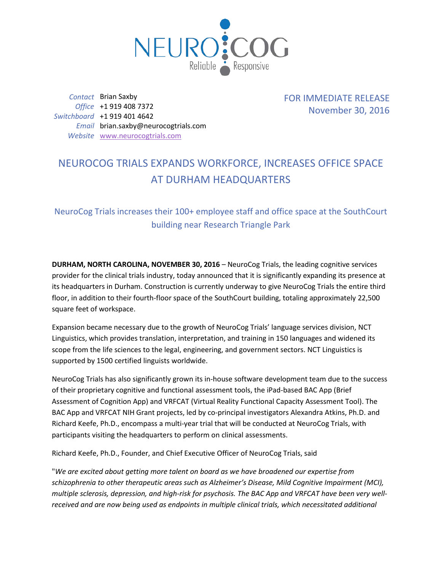

*Contact* Brian Saxby *Office* +1 919 408 7372 *Switchboard* +1 919 401 4642 *Email* brian.saxby@neurocogtrials.com *Website* [www.neurocogtrials.com](http://www.neurocogtrials.com/)

FOR IMMEDIATE RELEASE November 30, 2016

## NEUROCOG TRIALS EXPANDS WORKFORCE, INCREASES OFFICE SPACE AT DURHAM HEADQUARTERS

NeuroCog Trials increases their 100+ employee staff and office space at the SouthCourt building near Research Triangle Park

**DURHAM, NORTH CAROLINA, NOVEMBER 30, 2016** – NeuroCog Trials, the leading cognitive services provider for the clinical trials industry, today announced that it is significantly expanding its presence at its headquarters in Durham. Construction is currently underway to give NeuroCog Trials the entire third floor, in addition to their fourth-floor space of the SouthCourt building, totaling approximately 22,500 square feet of workspace.

Expansion became necessary due to the growth of NeuroCog Trials' language services division, NCT Linguistics, which provides translation, interpretation, and training in 150 languages and widened its scope from the life sciences to the legal, engineering, and government sectors. NCT Linguistics is supported by 1500 certified linguists worldwide.

NeuroCog Trials has also significantly grown its in-house software development team due to the success of their proprietary cognitive and functional assessment tools, the iPad-based BAC App (Brief Assessment of Cognition App) and VRFCAT (Virtual Reality Functional Capacity Assessment Tool). The BAC App and VRFCAT NIH Grant projects, led by co-principal investigators Alexandra Atkins, Ph.D. and Richard Keefe, Ph.D., encompass a multi-year trial that will be conducted at NeuroCog Trials, with participants visiting the headquarters to perform on clinical assessments.

Richard Keefe, Ph.D., Founder, and Chief Executive Officer of NeuroCog Trials, said

"*We are excited about getting more talent on board as we have broadened our expertise from schizophrenia to other therapeutic areas such as Alzheimer's Disease, Mild Cognitive Impairment (MCI), multiple sclerosis, depression, and high-risk for psychosis. The BAC App and VRFCAT have been very wellreceived and are now being used as endpoints in multiple clinical trials, which necessitated additional*